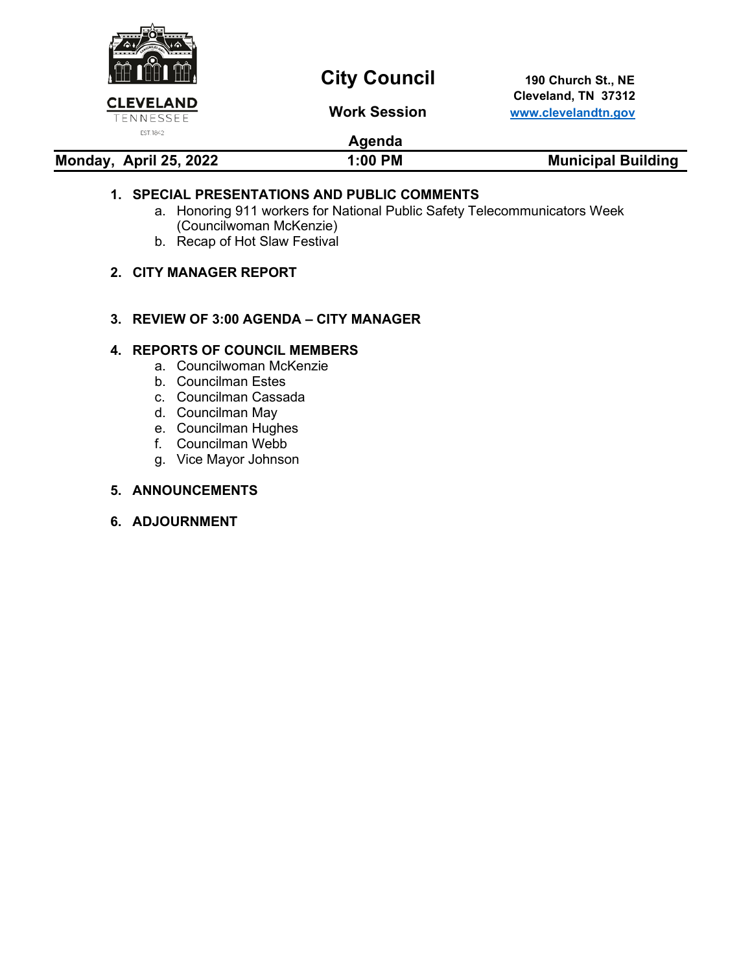

# **City Council** 190 Church St., NE

 **Cleveland, TN 37312 Work Session [www.clevelandtn.gov](http://www.clevelandtn.gov/)**

# **Agenda**

**Monday, April 25, 2022 1:00 PM Municipal Building** 

# **1. SPECIAL PRESENTATIONS AND PUBLIC COMMENTS**

- a. Honoring 911 workers for National Public Safety Telecommunicators Week (Councilwoman McKenzie)
- b. Recap of Hot Slaw Festival

# **2. CITY MANAGER REPORT**

# **3. REVIEW OF 3:00 AGENDA – CITY MANAGER**

# **4. REPORTS OF COUNCIL MEMBERS**

- a. Councilwoman McKenzie
- b. Councilman Estes
- c. Councilman Cassada
- d. Councilman May
- e. Councilman Hughes
- f. Councilman Webb
- g. Vice Mayor Johnson

## **5. ANNOUNCEMENTS**

## **6. ADJOURNMENT**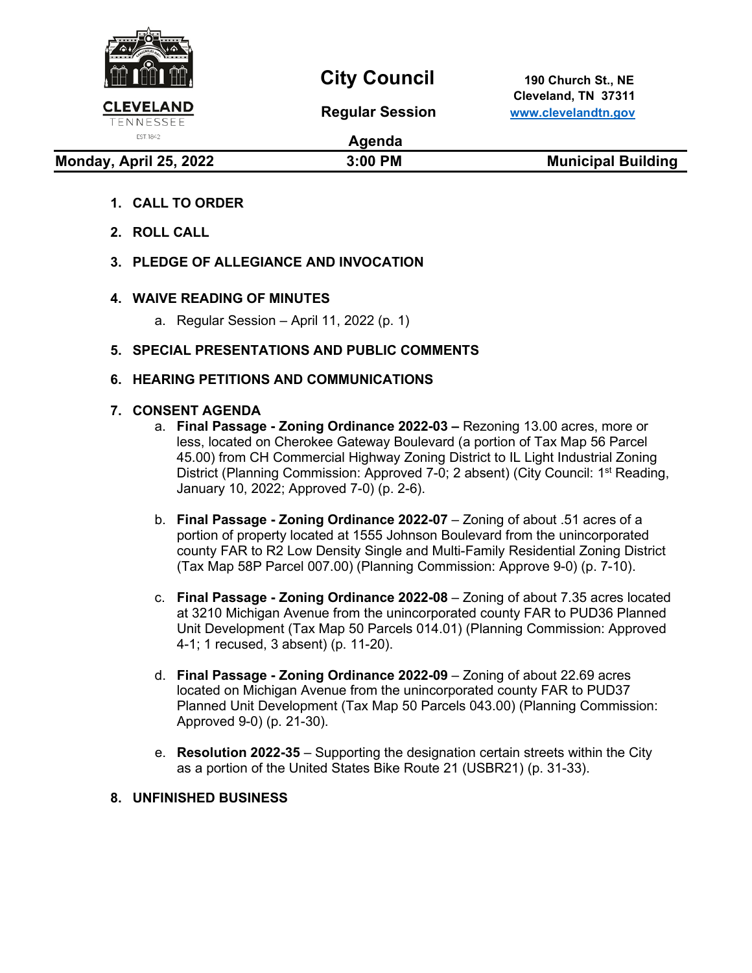

# **City Council** 190 Church St., NE

 **Cleveland, TN 37311 Regular Session [www.clevelandtn.gov](http://www.clevelandtn.gov/)**

# EST. 1842

# **Agenda**

**Monday, April 25, 2022** 3:00 PM 3:00 PM Municipal Building

- **1. CALL TO ORDER**
- **2. ROLL CALL**
- **3. PLEDGE OF ALLEGIANCE AND INVOCATION**

# **4. WAIVE READING OF MINUTES**

a. Regular Session – April 11, 2022 (p. 1)

# **5. SPECIAL PRESENTATIONS AND PUBLIC COMMENTS**

# **6. HEARING PETITIONS AND COMMUNICATIONS**

# **7. CONSENT AGENDA**

- a. **Final Passage - Zoning Ordinance 2022-03 –** Rezoning 13.00 acres, more or less, located on Cherokee Gateway Boulevard (a portion of Tax Map 56 Parcel 45.00) from CH Commercial Highway Zoning District to IL Light Industrial Zoning District (Planning Commission: Approved 7-0; 2 absent) (City Council: 1<sup>st</sup> Reading, January 10, 2022; Approved 7-0) (p. 2-6).
- b. **Final Passage - Zoning Ordinance 2022-07** Zoning of about .51 acres of a portion of property located at 1555 Johnson Boulevard from the unincorporated county FAR to R2 Low Density Single and Multi-Family Residential Zoning District (Tax Map 58P Parcel 007.00) (Planning Commission: Approve 9-0) (p. 7-10).
- c. **Final Passage - Zoning Ordinance 2022-08** Zoning of about 7.35 acres located at 3210 Michigan Avenue from the unincorporated county FAR to PUD36 Planned Unit Development (Tax Map 50 Parcels 014.01) (Planning Commission: Approved 4-1; 1 recused, 3 absent) (p. 11-20).
- d. **Final Passage - Zoning Ordinance 2022-09**  Zoning of about 22.69 acres located on Michigan Avenue from the unincorporated county FAR to PUD37 Planned Unit Development (Tax Map 50 Parcels 043.00) (Planning Commission: Approved 9-0) (p. 21-30).
- e. **Resolution 2022-35** Supporting the designation certain streets within the City as a portion of the United States Bike Route 21 (USBR21) (p. 31-33).

# **8. UNFINISHED BUSINESS**